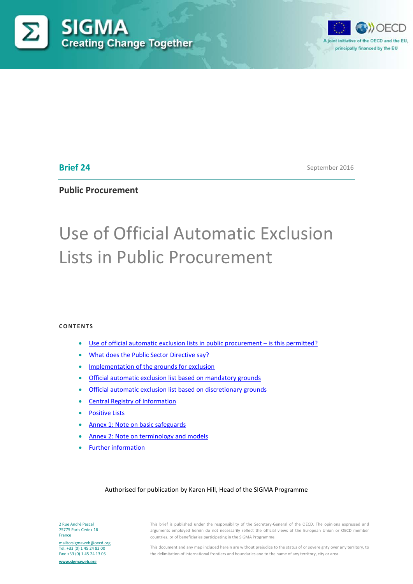



# **Brief 24**

September 2016

# **Public Procurement**

# Use of Official Automatic Exclusion Lists in Public Procurement

#### **CONTENTS**

- [Use of official automatic exclusion lists in public procurement –](#page-1-0) is this permitted?
- [What does the Public Sector Directive say?](#page-2-0)
- [Implementation of the grounds for exclusion](#page-4-0)
- [Official automatic exclusion list based on mandatory grounds](#page-8-0)
- [Official automatic exclusion list based on discretionary grounds](#page-8-1)
- [Central Registry of Information](#page-9-0)
- [Positive Lists](#page-9-1)
- [Annex 1: Note on basic safeguards](#page-11-0)
- [Annex 2: Note on terminology and models](#page-13-0)
- [Further information](#page-16-0)

#### Authorised for publication by Karen Hill, Head of the SIGMA Programme

2 Rue André Pascal 75775 Paris Cedex 16 France

<mailto:sigmaweb@oecd.org> Tel: +33 (0) 1 45 24 82 00 Fax: +33 (0) 1 45 24 13 05

**[www.sigmaweb.org](http://www.sigmaweb.org/)**

This brief is published under the responsibility of the Secretary-General of the OECD. The opinions expressed and arguments employed herein do not necessarily reflect the official views of the European Union or OECD member countries, or of beneficiaries participating in the SIGMA Programme.

This document and any map included herein are without prejudice to the status of or sovereignty over any territory, to the delimitation of international frontiers and boundaries and to the name of any territory, city or area.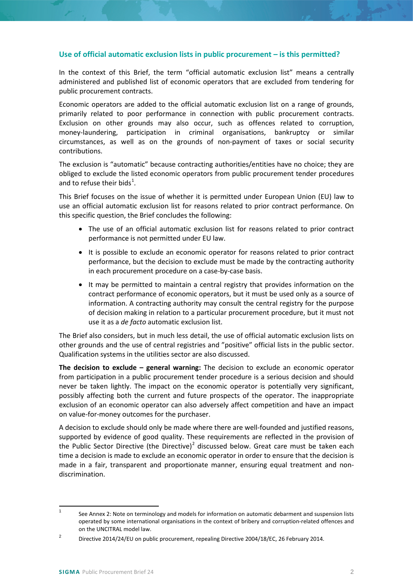#### <span id="page-1-0"></span>**Use of official automatic exclusion lists in public procurement – is this permitted?**

In the context of this Brief, the term "official automatic exclusion list" means a centrally administered and published list of economic operators that are excluded from tendering for public procurement contracts.

Economic operators are added to the official automatic exclusion list on a range of grounds, primarily related to poor performance in connection with public procurement contracts. Exclusion on other grounds may also occur, such as offences related to corruption, money-laundering, participation in criminal organisations, bankruptcy or similar circumstances, as well as on the grounds of non-payment of taxes or social security contributions.

The exclusion is "automatic" because contracting authorities/entities have no choice; they are obliged to exclude the listed economic operators from public procurement tender procedures and to refuse their bids<sup>[1](#page-1-1)</sup>.

This Brief focuses on the issue of whether it is permitted under European Union (EU) law to use an official automatic exclusion list for reasons related to prior contract performance. On this specific question, the Brief concludes the following:

- The use of an official automatic exclusion list for reasons related to prior contract performance is not permitted under EU law.
- It is possible to exclude an economic operator for reasons related to prior contract performance, but the decision to exclude must be made by the contracting authority in each procurement procedure on a case-by-case basis.
- It may be permitted to maintain a central registry that provides information on the contract performance of economic operators, but it must be used only as a source of information. A contracting authority may consult the central registry for the purpose of decision making in relation to a particular procurement procedure, but it must not use it as a *de facto* automatic exclusion list.

The Brief also considers, but in much less detail, the use of official automatic exclusion lists on other grounds and the use of central registries and "positive" official lists in the public sector. Qualification systems in the utilities sector are also discussed.

**The decision to exclude – general warning:** The decision to exclude an economic operator from participation in a public procurement tender procedure is a serious decision and should never be taken lightly. The impact on the economic operator is potentially very significant, possibly affecting both the current and future prospects of the operator. The inappropriate exclusion of an economic operator can also adversely affect competition and have an impact on value-for-money outcomes for the purchaser.

A decision to exclude should only be made where there are well-founded and justified reasons, supported by evidence of good quality. These requirements are reflected in the provision of the Public Sector Directive (the Directive)<sup>[2](#page-1-2)</sup> discussed below. Great care must be taken each time a decision is made to exclude an economic operator in order to ensure that the decision is made in a fair, transparent and proportionate manner, ensuring equal treatment and nondiscrimination.

<span id="page-1-1"></span><sup>&</sup>lt;sup>1</sup> See Annex 2: Note on terminology and models for information on automatic debarment and suspension lists operated by some international organisations in the context of bribery and corruption-related offences and on the UNCITRAL model law.

<span id="page-1-2"></span><sup>&</sup>lt;sup>2</sup> Directive 2014/24/EU on public procurement, repealing Directive 2004/18/EC, 26 February 2014.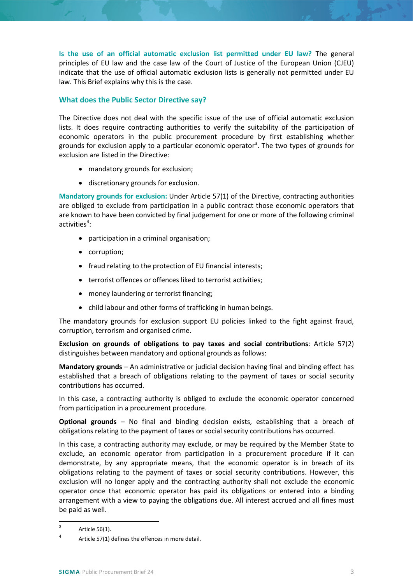**Is the use of an official automatic exclusion list permitted under EU law?** The general principles of EU law and the case law of the Court of Justice of the European Union (CJEU) indicate that the use of official automatic exclusion lists is generally not permitted under EU law. This Brief explains why this is the case.

# <span id="page-2-0"></span>**What does the Public Sector Directive say?**

The Directive does not deal with the specific issue of the use of official automatic exclusion lists. It does require contracting authorities to verify the suitability of the participation of economic operators in the public procurement procedure by first establishing whether grounds for exclusion apply to a particular economic operator<sup>[3](#page-2-1)</sup>. The two types of grounds for exclusion are listed in the Directive:

- mandatory grounds for exclusion;
- discretionary grounds for exclusion.

**Mandatory grounds for exclusion:** Under Article 57(1) of the Directive, contracting authorities are obliged to exclude from participation in a public contract those economic operators that are known to have been convicted by final judgement for one or more of the following criminal activities $4$ :

- participation in a criminal organisation;
- corruption;
- fraud relating to the protection of EU financial interests;
- terrorist offences or offences liked to terrorist activities;
- money laundering or terrorist financing;
- child labour and other forms of trafficking in human beings.

The mandatory grounds for exclusion support EU policies linked to the fight against fraud, corruption, terrorism and organised crime.

**Exclusion on grounds of obligations to pay taxes and social contributions**: Article 57(2) distinguishes between mandatory and optional grounds as follows:

**Mandatory grounds** – An administrative or judicial decision having final and binding effect has established that a breach of obligations relating to the payment of taxes or social security contributions has occurred.

In this case, a contracting authority is obliged to exclude the economic operator concerned from participation in a procurement procedure.

**Optional grounds** – No final and binding decision exists, establishing that a breach of obligations relating to the payment of taxes or social security contributions has occurred.

In this case, a contracting authority may exclude, or may be required by the Member State to exclude, an economic operator from participation in a procurement procedure if it can demonstrate, by any appropriate means, that the economic operator is in breach of its obligations relating to the payment of taxes or social security contributions. However, this exclusion will no longer apply and the contracting authority shall not exclude the economic operator once that economic operator has paid its obligations or entered into a binding arrangement with a view to paying the obligations due. All interest accrued and all fines must be paid as well.

<span id="page-2-1"></span> $3$  Article 56(1).

<span id="page-2-2"></span><sup>4</sup> Article 57(1) defines the offences in more detail.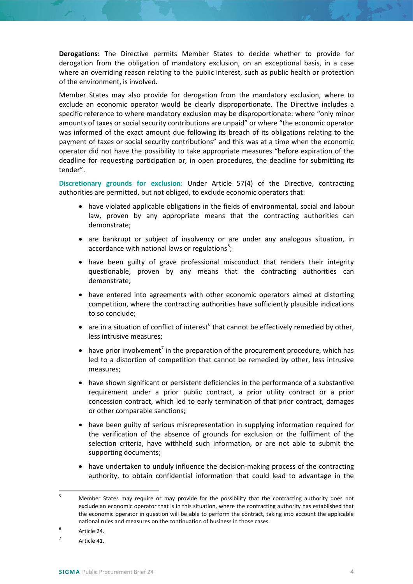**Derogations:** The Directive permits Member States to decide whether to provide for derogation from the obligation of mandatory exclusion, on an exceptional basis, in a case where an overriding reason relating to the public interest, such as public health or protection of the environment, is involved.

Member States may also provide for derogation from the mandatory exclusion, where to exclude an economic operator would be clearly disproportionate. The Directive includes a specific reference to where mandatory exclusion may be disproportionate: where "only minor amounts of taxes or social security contributions are unpaid" or where "the economic operator was informed of the exact amount due following its breach of its obligations relating to the payment of taxes or social security contributions" and this was at a time when the economic operator did not have the possibility to take appropriate measures "before expiration of the deadline for requesting participation or, in open procedures, the deadline for submitting its tender".

**Discretionary grounds for exclusion**: Under Article 57(4) of the Directive, contracting authorities are permitted, but not obliged, to exclude economic operators that:

- have violated applicable obligations in the fields of environmental, social and labour law, proven by any appropriate means that the contracting authorities can demonstrate;
- are bankrupt or subject of insolvency or are under any analogous situation, in accordance with national laws or regulations<sup>[5](#page-3-0)</sup>;
- have been guilty of grave professional misconduct that renders their integrity questionable, proven by any means that the contracting authorities can demonstrate;
- have entered into agreements with other economic operators aimed at distorting competition, where the contracting authorities have sufficiently plausible indications to so conclude;
- are in a situation of conflict of interest<sup>[6](#page-3-1)</sup> that cannot be effectively remedied by other, less intrusive measures;
- have prior involvement<sup>[7](#page-3-2)</sup> in the preparation of the procurement procedure, which has led to a distortion of competition that cannot be remedied by other, less intrusive measures;
- have shown significant or persistent deficiencies in the performance of a substantive requirement under a prior public contract, a prior utility contract or a prior concession contract, which led to early termination of that prior contract, damages or other comparable sanctions;
- have been guilty of serious misrepresentation in supplying information required for the verification of the absence of grounds for exclusion or the fulfilment of the selection criteria, have withheld such information, or are not able to submit the supporting documents;
- have undertaken to unduly influence the decision-making process of the contracting authority, to obtain confidential information that could lead to advantage in the

<span id="page-3-0"></span><sup>&</sup>lt;sup>5</sup> Member States may require or may provide for the possibility that the contracting authority does not exclude an economic operator that is in this situation, where the contracting authority has established that the economic operator in question will be able to perform the contract, taking into account the applicable national rules and measures on the continuation of business in those cases.

<span id="page-3-1"></span><sup>6</sup> Article 24.

<span id="page-3-2"></span> $7$  Article 41.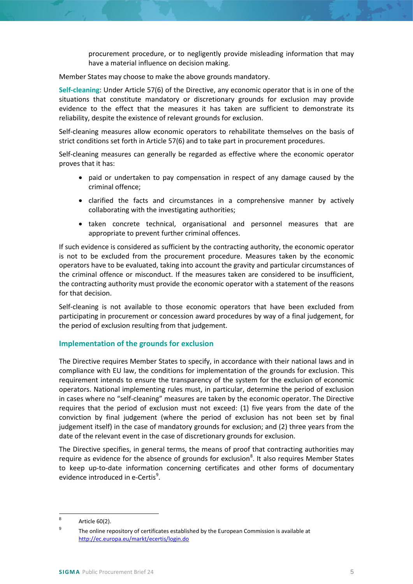procurement procedure, or to negligently provide misleading information that may have a material influence on decision making.

Member States may choose to make the above grounds mandatory.

**Self-cleaning**: Under Article 57(6) of the Directive, any economic operator that is in one of the situations that constitute mandatory or discretionary grounds for exclusion may provide evidence to the effect that the measures it has taken are sufficient to demonstrate its reliability, despite the existence of relevant grounds for exclusion.

Self-cleaning measures allow economic operators to rehabilitate themselves on the basis of strict conditions set forth in Article 57(6) and to take part in procurement procedures.

Self-cleaning measures can generally be regarded as effective where the economic operator proves that it has:

- paid or undertaken to pay compensation in respect of any damage caused by the criminal offence;
- clarified the facts and circumstances in a comprehensive manner by actively collaborating with the investigating authorities;
- taken concrete technical, organisational and personnel measures that are appropriate to prevent further criminal offences.

If such evidence is considered as sufficient by the contracting authority, the economic operator is not to be excluded from the procurement procedure. Measures taken by the economic operators have to be evaluated, taking into account the gravity and particular circumstances of the criminal offence or misconduct. If the measures taken are considered to be insufficient, the contracting authority must provide the economic operator with a statement of the reasons for that decision.

Self-cleaning is not available to those economic operators that have been excluded from participating in procurement or concession award procedures by way of a final judgement, for the period of exclusion resulting from that judgement.

## <span id="page-4-0"></span>**Implementation of the grounds for exclusion**

The Directive requires Member States to specify, in accordance with their national laws and in compliance with EU law, the conditions for implementation of the grounds for exclusion. This requirement intends to ensure the transparency of the system for the exclusion of economic operators. National implementing rules must, in particular, determine the period of exclusion in cases where no "self-cleaning" measures are taken by the economic operator. The Directive requires that the period of exclusion must not exceed: (1) five years from the date of the conviction by final judgement (where the period of exclusion has not been set by final judgement itself) in the case of mandatory grounds for exclusion; and (2) three years from the date of the relevant event in the case of discretionary grounds for exclusion.

The Directive specifies, in general terms, the means of proof that contracting authorities may require as evidence for the absence of grounds for exclusion<sup>[8](#page-4-1)</sup>. It also requires Member States to keep up-to-date information concerning certificates and other forms of documentary evidence introduced in e-Certis<sup>[9](#page-4-2)</sup>.

<span id="page-4-1"></span> $8$  Article 60(2).

<span id="page-4-2"></span><sup>&</sup>lt;sup>9</sup> The online repository of certificates established by the European Commission is available at <http://ec.europa.eu/markt/ecertis/login.do>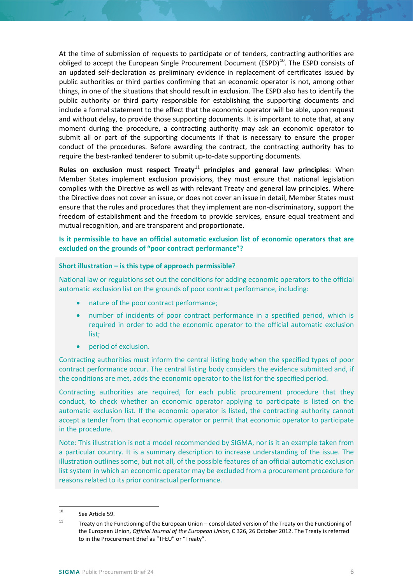At the time of submission of requests to participate or of tenders, contracting authorities are obliged to accept the European Single Procurement Document  $(ESPD)^{10}$  $(ESPD)^{10}$  $(ESPD)^{10}$ . The ESPD consists of an updated self-declaration as preliminary evidence in replacement of certificates issued by public authorities or third parties confirming that an economic operator is not, among other things, in one of the situations that should result in exclusion. The ESPD also has to identify the public authority or third party responsible for establishing the supporting documents and include a formal statement to the effect that the economic operator will be able, upon request and without delay, to provide those supporting documents. It is important to note that, at any moment during the procedure, a contracting authority may ask an economic operator to submit all or part of the supporting documents if that is necessary to ensure the proper conduct of the procedures. Before awarding the contract, the contracting authority has to require the best-ranked tenderer to submit up-to-date supporting documents.

**Rules on exclusion must respect Treaty<sup>[11](#page-5-1)</sup> principles and general law principles**: When Member States implement exclusion provisions, they must ensure that national legislation complies with the Directive as well as with relevant Treaty and general law principles. Where the Directive does not cover an issue, or does not cover an issue in detail, Member States must ensure that the rules and procedures that they implement are non-discriminatory, support the freedom of establishment and the freedom to provide services, ensure equal treatment and mutual recognition, and are transparent and proportionate.

## **Is it permissible to have an official automatic exclusion list of economic operators that are excluded on the grounds of "poor contract performance"?**

#### **Short illustration – is this type of approach permissible**?

National law or regulations set out the conditions for adding economic operators to the official automatic exclusion list on the grounds of poor contract performance, including:

- nature of the poor contract performance;
- number of incidents of poor contract performance in a specified period, which is required in order to add the economic operator to the official automatic exclusion list;
- period of exclusion.

Contracting authorities must inform the central listing body when the specified types of poor contract performance occur. The central listing body considers the evidence submitted and, if the conditions are met, adds the economic operator to the list for the specified period.

Contracting authorities are required, for each public procurement procedure that they conduct, to check whether an economic operator applying to participate is listed on the automatic exclusion list. If the economic operator is listed, the contracting authority cannot accept a tender from that economic operator or permit that economic operator to participate in the procedure.

Note: This illustration is not a model recommended by SIGMA, nor is it an example taken from a particular country. It is a summary description to increase understanding of the issue. The illustration outlines some, but not all, of the possible features of an official automatic exclusion list system in which an economic operator may be excluded from a procurement procedure for reasons related to its prior contractual performance.

<span id="page-5-0"></span> <sup>10</sup> See Article 59.

<span id="page-5-1"></span><sup>&</sup>lt;sup>11</sup> Treaty on the Functioning of the European Union – consolidated version of the Treaty on the Functioning of the European Union, *Official Journal of the European Union*, C 326, 26 October 2012. The Treaty is referred to in the Procurement Brief as "TFEU" or "Treaty".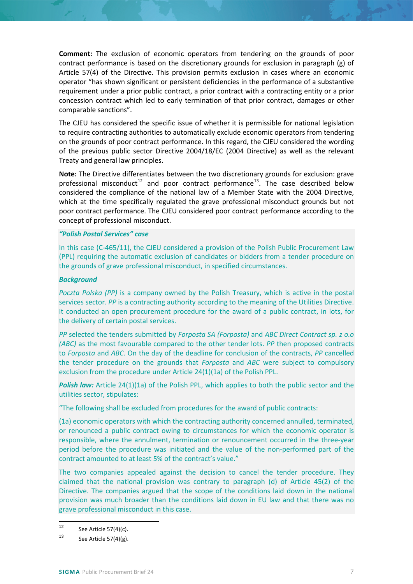**Comment:** The exclusion of economic operators from tendering on the grounds of poor contract performance is based on the discretionary grounds for exclusion in paragraph (g) of Article 57(4) of the Directive. This provision permits exclusion in cases where an economic operator "has shown significant or persistent deficiencies in the performance of a substantive requirement under a prior public contract, a prior contract with a contracting entity or a prior concession contract which led to early termination of that prior contract, damages or other comparable sanctions".

The CJEU has considered the specific issue of whether it is permissible for national legislation to require contracting authorities to automatically exclude economic operators from tendering on the grounds of poor contract performance. In this regard, the CJEU considered the wording of the previous public sector Directive 2004/18/EC (2004 Directive) as well as the relevant Treaty and general law principles.

**Note:** The Directive differentiates between the two discretionary grounds for exclusion: grave professional misconduct<sup>[12](#page-6-0)</sup> and poor contract performance<sup>[13](#page-6-1)</sup>. The case described below considered the compliance of the national law of a Member State with the 2004 Directive, which at the time specifically regulated the grave professional misconduct grounds but not poor contract performance. The CJEU considered poor contract performance according to the concept of professional misconduct.

#### *"Polish Postal Services" case*

In this case (C-465/11), the CJEU considered a provision of the Polish Public Procurement Law (PPL) requiring the automatic exclusion of candidates or bidders from a tender procedure on the grounds of grave professional misconduct, in specified circumstances.

#### *Background*

*Poczta Polska (PP)* is a company owned by the Polish Treasury, which is active in the postal services sector. *PP* is a contracting authority according to the meaning of the Utilities Directive. It conducted an open procurement procedure for the award of a public contract, in lots, for the delivery of certain postal services.

*PP* selected the tenders submitted by *Forposta SA (Forposta)* and *ABC Direct Contract sp. z o.o (ABC)* as the most favourable compared to the other tender lots. *PP* then proposed contracts to *Forposta* and *ABC*. On the day of the deadline for conclusion of the contracts, *PP* cancelled the tender procedure on the grounds that *Forposta* and *ABC* were subject to compulsory exclusion from the procedure under Article 24(1)(1a) of the Polish PPL.

**Polish law:** Article 24(1)(1a) of the Polish PPL, which applies to both the public sector and the utilities sector, stipulates:

"The following shall be excluded from procedures for the award of public contracts:

(1a) economic operators with which the contracting authority concerned annulled, terminated, or renounced a public contract owing to circumstances for which the economic operator is responsible, where the annulment, termination or renouncement occurred in the three-year period before the procedure was initiated and the value of the non-performed part of the contract amounted to at least 5% of the contract's value."

The two companies appealed against the decision to cancel the tender procedure. They claimed that the national provision was contrary to paragraph (d) of Article 45(2) of the Directive. The companies argued that the scope of the conditions laid down in the national provision was much broader than the conditions laid down in EU law and that there was no grave professional misconduct in this case.

<span id="page-6-0"></span><sup>&</sup>lt;sup>12</sup> See Article 57(4)(c).

<span id="page-6-1"></span> $13$  See Article 57(4)(g).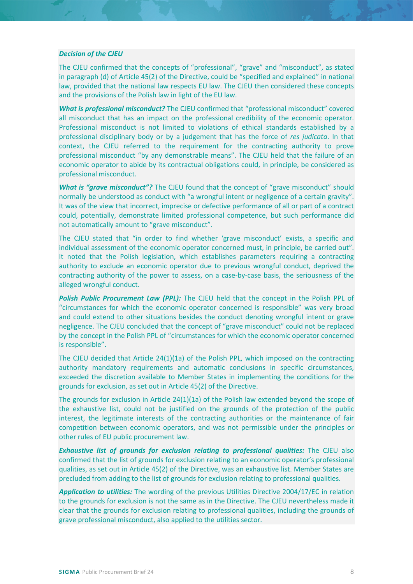#### *Decision of the CJEU*

The CJEU confirmed that the concepts of "professional", "grave" and "misconduct", as stated in paragraph (d) of Article 45(2) of the Directive, could be "specified and explained" in national law, provided that the national law respects EU law. The CJEU then considered these concepts and the provisions of the Polish law in light of the EU law.

*What is professional misconduct?* The CJEU confirmed that "professional misconduct" covered all misconduct that has an impact on the professional credibility of the economic operator. Professional misconduct is not limited to violations of ethical standards established by a professional disciplinary body or by a judgement that has the force of *res judicata*. In that context, the CJEU referred to the requirement for the contracting authority to prove professional misconduct "by any demonstrable means". The CJEU held that the failure of an economic operator to abide by its contractual obligations could, in principle, be considered as professional misconduct.

**What is "grave misconduct"?** The CJEU found that the concept of "grave misconduct" should normally be understood as conduct with "a wrongful intent or negligence of a certain gravity". It was of the view that incorrect, imprecise or defective performance of all or part of a contract could, potentially, demonstrate limited professional competence, but such performance did not automatically amount to "grave misconduct".

The CJEU stated that "in order to find whether 'grave misconduct' exists, a specific and individual assessment of the economic operator concerned must, in principle, be carried out". It noted that the Polish legislation, which establishes parameters requiring a contracting authority to exclude an economic operator due to previous wrongful conduct, deprived the contracting authority of the power to assess, on a case-by-case basis, the seriousness of the alleged wrongful conduct.

*Polish Public Procurement Law (PPL):* The CJEU held that the concept in the Polish PPL of "circumstances for which the economic operator concerned is responsible" was very broad and could extend to other situations besides the conduct denoting wrongful intent or grave negligence. The CJEU concluded that the concept of "grave misconduct" could not be replaced by the concept in the Polish PPL of "circumstances for which the economic operator concerned is responsible".

The CJEU decided that Article 24(1)(1a) of the Polish PPL, which imposed on the contracting authority mandatory requirements and automatic conclusions in specific circumstances, exceeded the discretion available to Member States in implementing the conditions for the grounds for exclusion, as set out in Article 45(2) of the Directive.

The grounds for exclusion in Article 24(1)(1a) of the Polish law extended beyond the scope of the exhaustive list, could not be justified on the grounds of the protection of the public interest, the legitimate interests of the contracting authorities or the maintenance of fair competition between economic operators, and was not permissible under the principles or other rules of EU public procurement law.

*Exhaustive list of grounds for exclusion relating to professional qualities:* The CJEU also confirmed that the list of grounds for exclusion relating to an economic operator's professional qualities, as set out in Article 45(2) of the Directive, was an exhaustive list. Member States are precluded from adding to the list of grounds for exclusion relating to professional qualities.

*Application to utilities:* The wording of the previous Utilities Directive 2004/17/EC in relation to the grounds for exclusion is not the same as in the Directive. The CJEU nevertheless made it clear that the grounds for exclusion relating to professional qualities, including the grounds of grave professional misconduct, also applied to the utilities sector.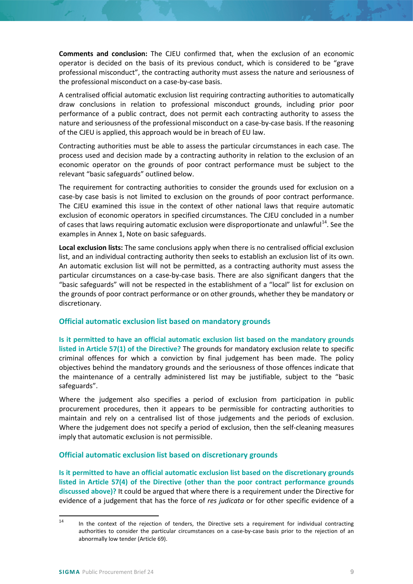**Comments and conclusion:** The CJEU confirmed that, when the exclusion of an economic operator is decided on the basis of its previous conduct, which is considered to be "grave professional misconduct", the contracting authority must assess the nature and seriousness of the professional misconduct on a case-by-case basis.

A centralised official automatic exclusion list requiring contracting authorities to automatically draw conclusions in relation to professional misconduct grounds, including prior poor performance of a public contract, does not permit each contracting authority to assess the nature and seriousness of the professional misconduct on a case-by-case basis. If the reasoning of the CJEU is applied, this approach would be in breach of EU law.

Contracting authorities must be able to assess the particular circumstances in each case. The process used and decision made by a contracting authority in relation to the exclusion of an economic operator on the grounds of poor contract performance must be subject to the relevant "basic safeguards" outlined below.

The requirement for contracting authorities to consider the grounds used for exclusion on a case-by case basis is not limited to exclusion on the grounds of poor contract performance. The CJEU examined this issue in the context of other national laws that require automatic exclusion of economic operators in specified circumstances. The CJEU concluded in a number of cases that laws requiring automatic exclusion were disproportionate and unlawful<sup>[14](#page-8-2)</sup>. See the examples in Annex 1, Note on basic safeguards.

**Local exclusion lists:** The same conclusions apply when there is no centralised official exclusion list, and an individual contracting authority then seeks to establish an exclusion list of its own. An automatic exclusion list will not be permitted, as a contracting authority must assess the particular circumstances on a case-by-case basis. There are also significant dangers that the "basic safeguards" will not be respected in the establishment of a "local" list for exclusion on the grounds of poor contract performance or on other grounds, whether they be mandatory or discretionary.

## <span id="page-8-0"></span>**Official automatic exclusion list based on mandatory grounds**

**Is it permitted to have an official automatic exclusion list based on the mandatory grounds listed in Article 57(1) of the Directive?** The grounds for mandatory exclusion relate to specific criminal offences for which a conviction by final judgement has been made. The policy objectives behind the mandatory grounds and the seriousness of those offences indicate that the maintenance of a centrally administered list may be justifiable, subject to the "basic safeguards".

Where the judgement also specifies a period of exclusion from participation in public procurement procedures, then it appears to be permissible for contracting authorities to maintain and rely on a centralised list of those judgements and the periods of exclusion. Where the judgement does not specify a period of exclusion, then the self-cleaning measures imply that automatic exclusion is not permissible.

# <span id="page-8-1"></span>**Official automatic exclusion list based on discretionary grounds**

**Is it permitted to have an official automatic exclusion list based on the discretionary grounds listed in Article 57(4) of the Directive (other than the poor contract performance grounds discussed above)?** It could be argued that where there is a requirement under the Directive for evidence of a judgement that has the force of *res judicata* or for other specific evidence of a

<span id="page-8-2"></span> $14$  In the context of the rejection of tenders, the Directive sets a requirement for individual contracting authorities to consider the particular circumstances on a case-by-case basis prior to the rejection of an abnormally low tender (Article 69).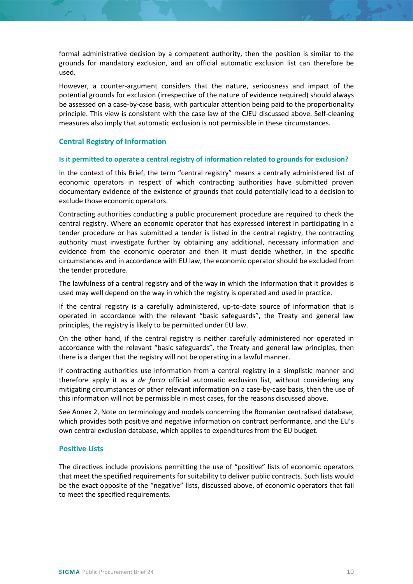formal administrative decision by a competent authority, then the position is similar to the grounds for mandatory exclusion, and an official automatic exclusion list can therefore be used.

However, a counter-argument considers that the nature, seriousness and impact of the potential grounds for exclusion (irrespective of the nature of evidence required) should always be assessed on a case-by-case basis, with particular attention being paid to the proportionality principle. This view is consistent with the case law of the CJEU discussed above. Self-cleaning measures also imply that automatic exclusion is not permissible in these circumstances.

# <span id="page-9-0"></span>**Central Registry of Information**

#### **Is it permitted to operate a central registry of information related to grounds for exclusion?**

In the context of this Brief, the term "central registry" means a centrally administered list of economic operators in respect of which contracting authorities have submitted proven documentary evidence of the existence of grounds that could potentially lead to a decision to exclude those economic operators.

Contracting authorities conducting a public procurement procedure are required to check the central registry. Where an economic operator that has expressed interest in participating in a tender procedure or has submitted a tender is listed in the central registry, the contracting authority must investigate further by obtaining any additional, necessary information and evidence from the economic operator and then it must decide whether, in the specific circumstances and in accordance with EU law, the economic operator should be excluded from the tender procedure.

The lawfulness of a central registry and of the way in which the information that it provides is used may well depend on the way in which the registry is operated and used in practice.

If the central registry is a carefully administered, up-to-date source of information that is operated in accordance with the relevant "basic safeguards", the Treaty and general law principles, the registry is likely to be permitted under EU law.

On the other hand, if the central registry is neither carefully administered nor operated in accordance with the relevant "basic safeguards", the Treaty and general law principles, then there is a danger that the registry will not be operating in a lawful manner.

If contracting authorities use information from a central registry in a simplistic manner and therefore apply it as a *de facto* official automatic exclusion list, without considering any mitigating circumstances or other relevant information on a case-by-case basis, then the use of this information will not be permissible in most cases, for the reasons discussed above.

See [Annex 2,](#page-13-0) Note on terminology and models concerning the Romanian centralised database, which provides both positive and negative information on contract performance, and the EU's own central exclusion database, which applies to expenditures from the EU budget.

## <span id="page-9-1"></span>**Positive Lists**

The directives include provisions permitting the use of "positive" lists of economic operators that meet the specified requirements for suitability to deliver public contracts. Such lists would be the exact opposite of the "negative" lists, discussed above, of economic operators that fail to meet the specified requirements.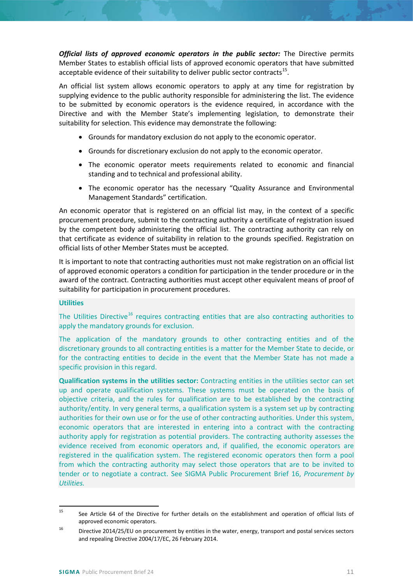*Official lists of approved economic operators in the public sector:* The Directive permits Member States to establish official lists of approved economic operators that have submitted acceptable evidence of their suitability to deliver public sector contracts<sup>[15](#page-10-0)</sup>.

An official list system allows economic operators to apply at any time for registration by supplying evidence to the public authority responsible for administering the list. The evidence to be submitted by economic operators is the evidence required, in accordance with the Directive and with the Member State's implementing legislation, to demonstrate their suitability for selection. This evidence may demonstrate the following:

- Grounds for mandatory exclusion do not apply to the economic operator.
- Grounds for discretionary exclusion do not apply to the economic operator.
- The economic operator meets requirements related to economic and financial standing and to technical and professional ability.
- The economic operator has the necessary "Quality Assurance and Environmental Management Standards" certification.

An economic operator that is registered on an official list may, in the context of a specific procurement procedure, submit to the contracting authority a certificate of registration issued by the competent body administering the official list. The contracting authority can rely on that certificate as evidence of suitability in relation to the grounds specified. Registration on official lists of other Member States must be accepted.

It is important to note that contracting authorities must not make registration on an official list of approved economic operators a condition for participation in the tender procedure or in the award of the contract. Contracting authorities must accept other equivalent means of proof of suitability for participation in procurement procedures.

## **Utilities**

The Utilities Directive<sup>[16](#page-10-1)</sup> requires contracting entities that are also contracting authorities to apply the mandatory grounds for exclusion.

The application of the mandatory grounds to other contracting entities and of the discretionary grounds to all contracting entities is a matter for the Member State to decide, or for the contracting entities to decide in the event that the Member State has not made a specific provision in this regard.

**Qualification systems in the utilities sector:** Contracting entities in the utilities sector can set up and operate qualification systems. These systems must be operated on the basis of objective criteria, and the rules for qualification are to be established by the contracting authority/entity. In very general terms, a qualification system is a system set up by contracting authorities for their own use or for the use of other contracting authorities. Under this system, economic operators that are interested in entering into a contract with the contracting authority apply for registration as potential providers. The contracting authority assesses the evidence received from economic operators and, if qualified, the economic operators are registered in the qualification system. The registered economic operators then form a pool from which the contracting authority may select those operators that are to be invited to tender or to negotiate a contract. See SIGMA Public Procurement Brief 16, *Procurement by Utilities.*

<span id="page-10-0"></span><sup>&</sup>lt;sup>15</sup> See Article 64 of the Directive for further details on the establishment and operation of official lists of approved economic operators.

<span id="page-10-1"></span><sup>&</sup>lt;sup>16</sup> Directive 2014/25/EU on procurement by entities in the water, energy, transport and postal services sectors and repealing Directive 2004/17/EC, 26 February 2014.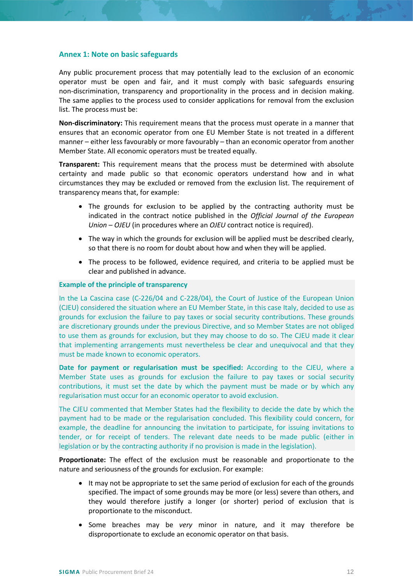#### <span id="page-11-0"></span>**Annex 1: Note on basic safeguards**

Any public procurement process that may potentially lead to the exclusion of an economic operator must be open and fair, and it must comply with basic safeguards ensuring non-discrimination, transparency and proportionality in the process and in decision making. The same applies to the process used to consider applications for removal from the exclusion list. The process must be:

**Non-discriminatory:** This requirement means that the process must operate in a manner that ensures that an economic operator from one EU Member State is not treated in a different manner – either less favourably or more favourably – than an economic operator from another Member State. All economic operators must be treated equally.

**Transparent:** This requirement means that the process must be determined with absolute certainty and made public so that economic operators understand how and in what circumstances they may be excluded or removed from the exclusion list. The requirement of transparency means that, for example:

- The grounds for exclusion to be applied by the contracting authority must be indicated in the contract notice published in the *Official Journal of the European Union – OJEU* (in procedures where an *OJEU* contract notice is required).
- The way in which the grounds for exclusion will be applied must be described clearly, so that there is no room for doubt about how and when they will be applied.
- The process to be followed, evidence required, and criteria to be applied must be clear and published in advance.

#### **Example of the principle of transparency**

In the La Cascina case (C-226/04 and C-228/04), the Court of Justice of the European Union (CJEU) considered the situation where an EU Member State, in this case Italy, decided to use as grounds for exclusion the failure to pay taxes or social security contributions. These grounds are discretionary grounds under the previous Directive, and so Member States are not obliged to use them as grounds for exclusion, but they may choose to do so. The CJEU made it clear that implementing arrangements must nevertheless be clear and unequivocal and that they must be made known to economic operators.

**Date for payment or regularisation must be specified:** According to the CJEU, where a Member State uses as grounds for exclusion the failure to pay taxes or social security contributions, it must set the date by which the payment must be made or by which any regularisation must occur for an economic operator to avoid exclusion.

The CJEU commented that Member States had the flexibility to decide the date by which the payment had to be made or the regularisation concluded. This flexibility could concern, for example, the deadline for announcing the invitation to participate, for issuing invitations to tender, or for receipt of tenders. The relevant date needs to be made public (either in legislation or by the contracting authority if no provision is made in the legislation).

**Proportionate:** The effect of the exclusion must be reasonable and proportionate to the nature and seriousness of the grounds for exclusion. For example:

- It may not be appropriate to set the same period of exclusion for each of the grounds specified. The impact of some grounds may be more (or less) severe than others, and they would therefore justify a longer (or shorter) period of exclusion that is proportionate to the misconduct.
- Some breaches may be *very* minor in nature, and it may therefore be disproportionate to exclude an economic operator on that basis.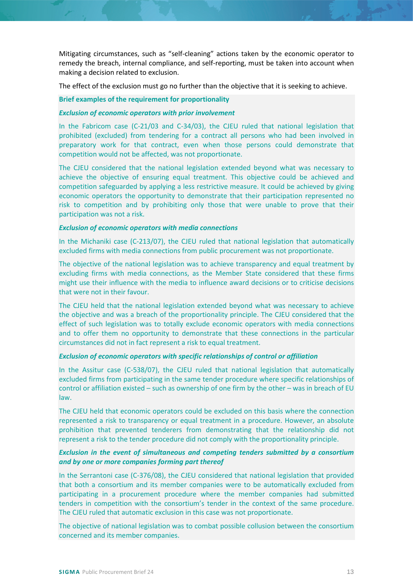Mitigating circumstances, such as "self-cleaning" actions taken by the economic operator to remedy the breach, internal compliance, and self-reporting, must be taken into account when making a decision related to exclusion.

The effect of the exclusion must go no further than the objective that it is seeking to achieve.

#### **Brief examples of the requirement for proportionality**

#### *Exclusion of economic operators with prior involvement*

In the Fabricom case (C-21/03 and C-34/03), the CJEU ruled that national legislation that prohibited (excluded) from tendering for a contract all persons who had been involved in preparatory work for that contract, even when those persons could demonstrate that competition would not be affected, was not proportionate.

The CJEU considered that the national legislation extended beyond what was necessary to achieve the objective of ensuring equal treatment. This objective could be achieved and competition safeguarded by applying a less restrictive measure. It could be achieved by giving economic operators the opportunity to demonstrate that their participation represented no risk to competition and by prohibiting only those that were unable to prove that their participation was not a risk.

#### *Exclusion of economic operators with media connections*

In the Michaniki case (C-213/07), the CJEU ruled that national legislation that automatically excluded firms with media connections from public procurement was not proportionate.

The objective of the national legislation was to achieve transparency and equal treatment by excluding firms with media connections, as the Member State considered that these firms might use their influence with the media to influence award decisions or to criticise decisions that were not in their favour.

The CJEU held that the national legislation extended beyond what was necessary to achieve the objective and was a breach of the proportionality principle. The CJEU considered that the effect of such legislation was to totally exclude economic operators with media connections and to offer them no opportunity to demonstrate that these connections in the particular circumstances did not in fact represent a risk to equal treatment.

## *Exclusion of economic operators with specific relationships of control or affiliation*

In the Assitur case (C-538/07), the CJEU ruled that national legislation that automatically excluded firms from participating in the same tender procedure where specific relationships of control or affiliation existed – such as ownership of one firm by the other – was in breach of EU law.

The CJEU held that economic operators could be excluded on this basis where the connection represented a risk to transparency or equal treatment in a procedure. However, an absolute prohibition that prevented tenderers from demonstrating that the relationship did not represent a risk to the tender procedure did not comply with the proportionality principle.

## *Exclusion in the event of simultaneous and competing tenders submitted by a consortium and by one or more companies forming part thereof*

In the Serrantoni case (C-376/08), the CJEU considered that national legislation that provided that both a consortium and its member companies were to be automatically excluded from participating in a procurement procedure where the member companies had submitted tenders in competition with the consortium's tender in the context of the same procedure. The CJEU ruled that automatic exclusion in this case was not proportionate.

The objective of national legislation was to combat possible collusion between the consortium concerned and its member companies.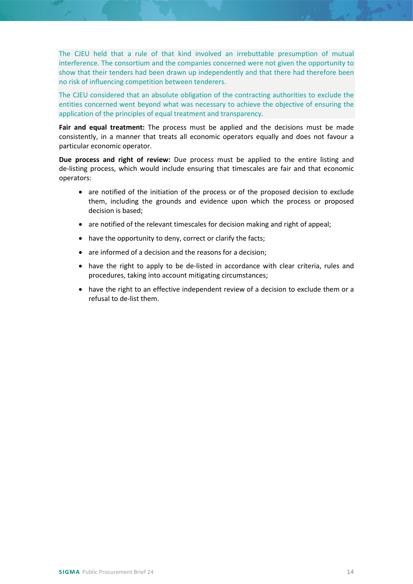The CJEU held that a rule of that kind involved an irrebuttable presumption of mutual interference. The consortium and the companies concerned were not given the opportunity to show that their tenders had been drawn up independently and that there had therefore been no risk of influencing competition between tenderers.

The CJEU considered that an absolute obligation of the contracting authorities to exclude the entities concerned went beyond what was necessary to achieve the objective of ensuring the application of the principles of equal treatment and transparency.

**Fair and equal treatment:** The process must be applied and the decisions must be made consistently, in a manner that treats all economic operators equally and does not favour a particular economic operator.

**Due process and right of review:** Due process must be applied to the entire listing and de-listing process, which would include ensuring that timescales are fair and that economic operators:

- are notified of the initiation of the process or of the proposed decision to exclude them, including the grounds and evidence upon which the process or proposed decision is based;
- are notified of the relevant timescales for decision making and right of appeal;
- have the opportunity to deny, correct or clarify the facts;
- are informed of a decision and the reasons for a decision;
- have the right to apply to be de-listed in accordance with clear criteria, rules and procedures, taking into account mitigating circumstances;
- <span id="page-13-0"></span>• have the right to an effective independent review of a decision to exclude them or a refusal to de-list them.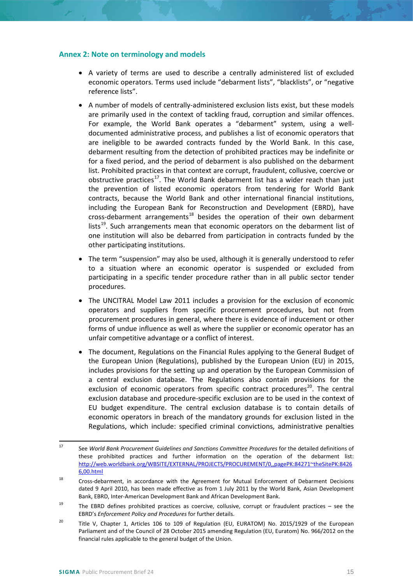#### **Annex 2: Note on terminology and models**

- A variety of terms are used to describe a centrally administered list of excluded economic operators. Terms used include "debarment lists", "blacklists", or "negative reference lists".
- A number of models of centrally-administered exclusion lists exist, but these models are primarily used in the context of tackling fraud, corruption and similar offences. For example, the World Bank operates a "debarment" system, using a welldocumented administrative process, and publishes a list of economic operators that are ineligible to be awarded contracts funded by the World Bank. In this case, debarment resulting from the detection of prohibited practices may be indefinite or for a fixed period, and the period of debarment is also published on the debarment list. Prohibited practices in that context are corrupt, fraudulent, collusive, coercive or obstructive practices<sup>17</sup>. The World Bank debarment list has a wider reach than just the prevention of listed economic operators from tendering for World Bank contracts, because the World Bank and other international financial institutions, including the European Bank for Reconstruction and Development (EBRD), have cross-debarment arrangements<sup>[18](#page-14-1)</sup> besides the operation of their own debarment lists<sup>19</sup>. Such arrangements mean that economic operators on the debarment list of one institution will also be debarred from participation in contracts funded by the other participating institutions.
- The term "suspension" may also be used, although it is generally understood to refer to a situation where an economic operator is suspended or excluded from participating in a specific tender procedure rather than in all public sector tender procedures.
- The UNCITRAL Model Law 2011 includes a provision for the exclusion of economic operators and suppliers from specific procurement procedures, but not from procurement procedures in general, where there is evidence of inducement or other forms of undue influence as well as where the supplier or economic operator has an unfair competitive advantage or a conflict of interest.
- The document, Regulations on the Financial Rules applying to the General Budget of the European Union (Regulations), published by the European Union (EU) in 2015, includes provisions for the setting up and operation by the European Commission of a central exclusion database. The Regulations also contain provisions for the exclusion of economic operators from specific contract procedures<sup>20</sup>. The central exclusion database and procedure-specific exclusion are to be used in the context of EU budget expenditure. The central exclusion database is to contain details of economic operators in breach of the mandatory grounds for exclusion listed in the Regulations, which include: specified criminal convictions, administrative penalties

<span id="page-14-0"></span> <sup>17</sup> See *World Bank Procurement Guidelines and Sanctions Committee Procedures* for the detailed definitions of these prohibited practices and further information on the operation of the debarment list: [http://web.worldbank.org/WBSITE/EXTERNAL/PROJECTS/PROCUREMENT/0,,pagePK:84271~theSitePK:8426](http://web.worldbank.org/WBSITE/EXTERNAL/PROJECTS/PROCUREMENT/0,,pagePK:84271%7EtheSitePK:84266,00.html) [6,00.html](http://web.worldbank.org/WBSITE/EXTERNAL/PROJECTS/PROCUREMENT/0,,pagePK:84271%7EtheSitePK:84266,00.html)

<span id="page-14-1"></span><sup>&</sup>lt;sup>18</sup> Cross-debarment, in accordance with the Agreement for Mutual Enforcement of Debarment Decisions dated 9 April 2010, has been made effective as from 1 July 2011 by the World Bank, Asian Development Bank, EBRD, Inter-American Development Bank and African Development Bank.

<span id="page-14-2"></span><sup>&</sup>lt;sup>19</sup> The EBRD defines prohibited practices as coercive, collusive, corrupt or fraudulent practices – see the EBRD's *Enforcement Policy and Procedures* for further details.

<span id="page-14-3"></span><sup>&</sup>lt;sup>20</sup> Title V, Chapter 1, Articles 106 to 109 of Regulation (EU, EURATOM) No. 2015/1929 of the European Parliament and of the Council of 28 October 2015 amending Regulation (EU, Euratom) No. 966/2012 on the financial rules applicable to the general budget of the Union.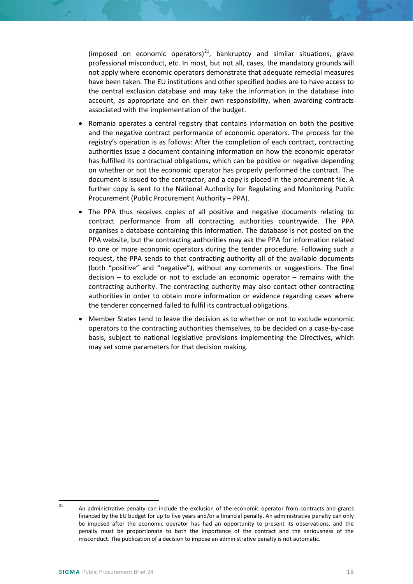(imposed on economic operators) $^{21}$ , bankruptcy and similar situations, grave professional misconduct, etc. In most, but not all, cases, the mandatory grounds will not apply where economic operators demonstrate that adequate remedial measures have been taken. The EU institutions and other specified bodies are to have access to the central exclusion database and may take the information in the database into account, as appropriate and on their own responsibility, when awarding contracts associated with the implementation of the budget.

- Romania operates a central registry that contains information on both the positive and the negative contract performance of economic operators. The process for the registry's operation is as follows: After the completion of each contract, contracting authorities issue a document containing information on how the economic operator has fulfilled its contractual obligations, which can be positive or negative depending on whether or not the economic operator has properly performed the contract. The document is issued to the contractor, and a copy is placed in the procurement file. A further copy is sent to the National Authority for Regulating and Monitoring Public Procurement (Public Procurement Authority – PPA).
- The PPA thus receives copies of all positive and negative documents relating to contract performance from all contracting authorities countrywide. The PPA organises a database containing this information. The database is not posted on the PPA website, but the contracting authorities may ask the PPA for information related to one or more economic operators during the tender procedure. Following such a request, the PPA sends to that contracting authority all of the available documents (both "positive" and "negative"), without any comments or suggestions. The final decision – to exclude or not to exclude an economic operator – remains with the contracting authority. The contracting authority may also contact other contracting authorities in order to obtain more information or evidence regarding cases where the tenderer concerned failed to fulfil its contractual obligations.
- Member States tend to leave the decision as to whether or not to exclude economic operators to the contracting authorities themselves, to be decided on a case-by-case basis, subject to national legislative provisions implementing the Directives, which may set some parameters for that decision making.

<span id="page-15-0"></span><sup>&</sup>lt;sup>21</sup> An administrative penalty can include the exclusion of the economic operator from contracts and grants financed by the EU budget for up to five years and/or a financial penalty. An administrative penalty can only be imposed after the economic operator has had an opportunity to present its observations, and the penalty must be proportionate to both the importance of the contract and the seriousness of the misconduct. The publication of a decision to impose an administrative penalty is not automatic.